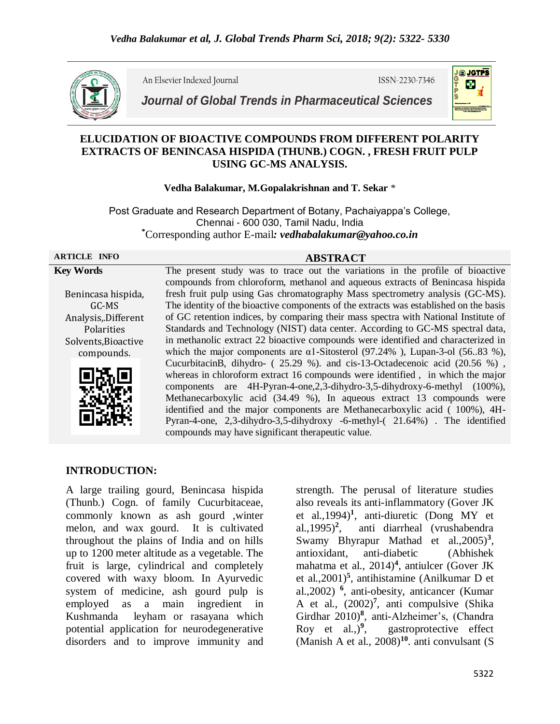

An Elsevier Indexed Journal ISSN-2230-7346



*Journal of Global Trends in Pharmaceutical Sciences*

# **ELUCIDATION OF BIOACTIVE COMPOUNDS FROM DIFFERENT POLARITY EXTRACTS OF BENINCASA HISPIDA (THUNB.) COGN. , FRESH FRUIT PULP USING GC-MS ANALYSIS.**

## **Vedha Balakumar, M.Gopalakrishnan and T. Sekar** \*

Post Graduate and Research Department of Botany, Pachaiyappa's College, Chennai - 600 030, Tamil Nadu, India **\***Corresponding author E-mail*: vedhabalakumar@yahoo.co.in*

**ARTICLE INFO ABSTRACT**

## **Key Words**

Benincasa hispida, GC-MS Analysis,.Different Polarities Solvents,Bioactive compounds.



The present study was to trace out the variations in the profile of bioactive compounds from chloroform, methanol and aqueous extracts of Benincasa hispida fresh fruit pulp using Gas chromatography Mass spectrometry analysis (GC-MS). The identity of the bioactive components of the extracts was established on the basis of GC retention indices, by comparing their mass spectra with National Institute of Standards and Technology (NIST) data center. According to GC-MS spectral data, in methanolic extract 22 bioactive compounds were identified and characterized in which the major components are  $\alpha$ 1-Sitosterol (97.24%), Lupan-3-ol (56.83 %), CucurbitacinB, dihydro- ( 25.29 %). and cis-13-Octadecenoic acid (20.56 %) , whereas in chloroform extract 16 compounds were identified , in which the major components are 4H-Pyran-4-one,2,3-dihydro-3,5-dihydroxy-6-methyl (100%), Methanecarboxylic acid (34.49 %), In aqueous extract 13 compounds were identified and the major components are Methanecarboxylic acid ( 100%), 4H-Pyran-4-one, 2,3-dihydro-3,5-dihydroxy -6-methyl-( 21.64%) . The identified compounds may have significant therapeutic value.

# **INTRODUCTION:**

A large trailing gourd, Benincasa hispida (Thunb.) Cogn. of family Cucurbitaceae, commonly known as ash gourd ,winter melon, and wax gourd. It is cultivated throughout the plains of India and on hills up to 1200 meter altitude as a vegetable. The fruit is large, cylindrical and completely covered with waxy bloom. In Ayurvedic system of medicine, ash gourd pulp is employed as a main ingredient in Kushmanda leyham or rasayana which potential application for neurodegenerative disorders and to improve immunity and

strength. The perusal of literature studies also reveals its anti-inflammatory (Gover JK et al.,1994)**<sup>1</sup>** , anti-diuretic (Dong MY et al.,1995)**<sup>2</sup>** , anti diarrheal (vrushabendra Swamy Bhyrapur Mathad et al., 2005)<sup>3</sup>, antioxidant, anti-diabetic (Abhishek mahatma et al., 2014)**<sup>4</sup>** , antiulcer (Gover JK et al.,2001)**<sup>5</sup>** , antihistamine (Anilkumar D et al.,2002) **<sup>6</sup>** , anti-obesity, anticancer (Kumar A et al., (2002)**<sup>7</sup>** , anti compulsive (Shika Girdhar 2010)**<sup>8</sup>** , anti-Alzheimer's, (Chandra Roy et al., $)^9$ , , gastroprotective effect (Manish A et al., 2008)**<sup>10</sup>**. anti convulsant (S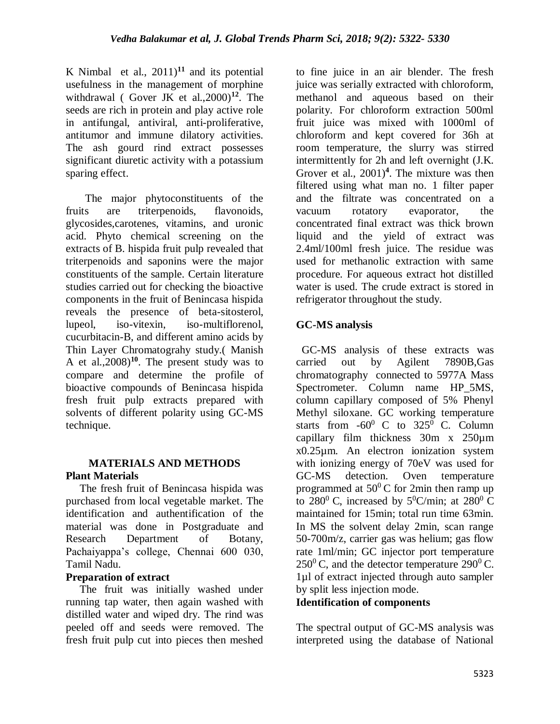K Nimbal et al.,  $2011$ <sup>11</sup> and its potential usefulness in the management of morphine withdrawal ( Gover JK et al.,2000)**<sup>12</sup>**. The seeds are rich in protein and play active role in antifungal, antiviral, anti-proliferative, antitumor and immune dilatory activities. The ash gourd rind extract possesses significant diuretic activity with a potassium sparing effect.

 The major phytoconstituents of the fruits are triterpenoids, flavonoids, glycosides,carotenes, vitamins, and uronic acid. Phyto chemical screening on the extracts of B. hispida fruit pulp revealed that triterpenoids and saponins were the major constituents of the sample. Certain literature studies carried out for checking the bioactive components in the fruit of Benincasa hispida reveals the presence of beta-sitosterol, lupeol, iso-vitexin, iso-multiflorenol, cucurbitacin-B, and different amino acids by Thin Layer Chromatograhy study.( Manish A et al.,2008)**<sup>10</sup>**. The present study was to compare and determine the profile of bioactive compounds of Benincasa hispida fresh fruit pulp extracts prepared with solvents of different polarity using GC-MS technique.

# **MATERIALS AND METHODS Plant Materials**

The fresh fruit of Benincasa hispida was purchased from local vegetable market. The identification and authentification of the material was done in Postgraduate and Research Department of Botany, Pachaiyappa's college, Chennai 600 030, Tamil Nadu.

# **Preparation of extract**

 The fruit was initially washed under running tap water, then again washed with distilled water and wiped dry. The rind was peeled off and seeds were removed. The fresh fruit pulp cut into pieces then meshed

to fine juice in an air blender. The fresh juice was serially extracted with chloroform, methanol and aqueous based on their polarity. For chloroform extraction 500ml fruit juice was mixed with 1000ml of chloroform and kept covered for 36h at room temperature, the slurry was stirred intermittently for 2h and left overnight (J.K. Grover et al., 2001)**<sup>4</sup>** . The mixture was then filtered using what man no. 1 filter paper and the filtrate was concentrated on a vacuum rotatory evaporator, the concentrated final extract was thick brown liquid and the yield of extract was 2.4ml/100ml fresh juice. The residue was used for methanolic extraction with same procedure. For aqueous extract hot distilled water is used. The crude extract is stored in refrigerator throughout the study.

# **GC-MS analysis**

 GC-MS analysis of these extracts was carried out by Agilent 7890B,Gas chromatography connected to 5977A Mass Spectrometer. Column name HP\_5MS, column capillary composed of 5% Phenyl Methyl siloxane. GC working temperature starts from  $-60^{\circ}$  C to  $325^{\circ}$  C. Column capillary film thickness 30m x 250µm x0.25µm. An electron ionization system with ionizing energy of 70eV was used for GC-MS detection. Oven temperature programmed at  $50^{\circ}$ C for 2min then ramp up to 280<sup>0</sup> C, increased by  $5^0$ C/min; at 280<sup>0</sup> C maintained for 15min; total run time 63min. In MS the solvent delay 2min, scan range 50-700m/z, carrier gas was helium; gas flow rate 1ml/min; GC injector port temperature  $250^{\circ}$  C, and the detector temperature 290 $^{\circ}$  C. 1µl of extract injected through auto sampler by split less injection mode.

# **Identification of components**

The spectral output of GC-MS analysis was interpreted using the database of National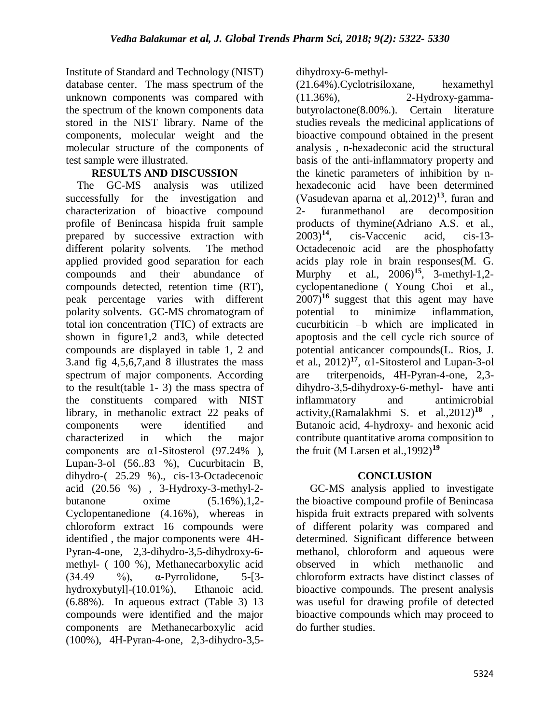Institute of Standard and Technology (NIST) database center. The mass spectrum of the unknown components was compared with the spectrum of the known components data stored in the NIST library. Name of the components, molecular weight and the molecular structure of the components of test sample were illustrated.

# **RESULTS AND DISCUSSION**

 The GC-MS analysis was utilized successfully for the investigation and characterization of bioactive compound profile of Benincasa hispida fruit sample prepared by successive extraction with different polarity solvents. The method applied provided good separation for each compounds and their abundance of compounds detected, retention time (RT), peak percentage varies with different polarity solvents. GC-MS chromatogram of total ion concentration (TIC) of extracts are shown in figure1,2 and3, while detected compounds are displayed in table 1, 2 and 3.and fig 4,5,6,7,and 8 illustrates the mass spectrum of major components. According to the result(table 1- 3) the mass spectra of the constituents compared with NIST library, in methanolic extract 22 peaks of components were identified and characterized in which the major components are α1-Sitosterol (97.24% ), Lupan-3-ol (56..83 %), Cucurbitacin B, dihydro-( 25.29 %)., cis-13-Octadecenoic acid (20.56 %) , 3-Hydroxy-3-methyl-2 butanone  $\alpha$  oxime  $(5.16\%, 1.2-$ Cyclopentanedione (4.16%), whereas in chloroform extract 16 compounds were identified , the major components were 4H-Pyran-4-one, 2,3-dihydro-3,5-dihydroxy-6 methyl- ( 100 %), Methanecarboxylic acid (34.49 %), α-Pyrrolidone, 5-[3 hydroxybutyl]-(10.01%), Ethanoic acid. (6.88%). In aqueous extract (Table 3) 13 compounds were identified and the major components are Methanecarboxylic acid (100%), 4H-Pyran-4-one, 2,3-dihydro-3,5dihydroxy-6-methyl-

(21.64%).Cyclotrisiloxane, hexamethyl (11.36%), 2-Hydroxy-gammabutyrolactone(8.00%.). Certain literature studies reveals the medicinal applications of bioactive compound obtained in the present analysis , n-hexadeconic acid the structural basis of the anti-inflammatory property and the kinetic parameters of inhibition by nhexadeconic acid have been determined (Vasudevan aparna et al,.2012)**<sup>13</sup>**, furan and 2- furanmethanol are decomposition products of thymine(Adriano A.S. et al., 2003)<sup>14</sup>, cis-Vaccenic acid, cis-13-2003)**<sup>14</sup>**, cis-Vaccenic acid, cis-13- Octadecenoic acid are the phosphofatty acids play role in brain responses(M. G. Murphy et al., 2006)**<sup>15</sup>**, 3-methyl-1,2 cyclopentanedione ( Young Choi et al.,  $(2007)^{16}$  suggest that this agent may have potential to minimize inflammation, cucurbiticin –b which are implicated in apoptosis and the cell cycle rich source of potential anticancer compounds(L. Rios, J. et al.,  $2012$ <sup>17</sup>,  $\alpha$ 1-Sitosterol and Lupan-3-ol are triterpenoids, 4H-Pyran-4-one, 2,3 dihydro-3,5-dihydroxy-6-methyl- have anti inflammatory and antimicrobial activity,(Ramalakhmi S. et al.,2012)**<sup>18</sup>** , Butanoic acid, 4-hydroxy- and hexonic acid contribute quantitative aroma composition to the fruit (M Larsen et al.,1992)**<sup>19</sup>**

# **CONCLUSION**

 GC-MS analysis applied to investigate the bioactive compound profile of Benincasa hispida fruit extracts prepared with solvents of different polarity was compared and determined. Significant difference between methanol, chloroform and aqueous were observed in which methanolic and chloroform extracts have distinct classes of bioactive compounds. The present analysis was useful for drawing profile of detected bioactive compounds which may proceed to do further studies.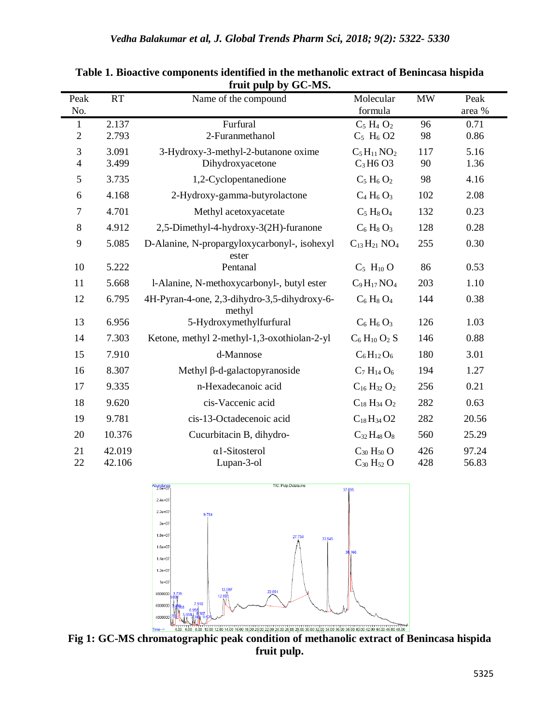| Peak<br>No.                  | RT               | Name of the compound                                    | Molecular<br>formula                                              | <b>MW</b>  | Peak<br>area % |
|------------------------------|------------------|---------------------------------------------------------|-------------------------------------------------------------------|------------|----------------|
| $\mathbf{1}$<br>$\mathbf{2}$ | 2.137<br>2.793   | Furfural<br>2-Furanmethanol                             | $C_5$ H <sub>4</sub> $O_2$<br>$C_5$ H <sub>6</sub> O <sub>2</sub> | 96<br>98   | 0.71<br>0.86   |
| 3<br>$\overline{4}$          | 3.091<br>3.499   | 3-Hydroxy-3-methyl-2-butanone oxime<br>Dihydroxyacetone | $C_5H_{11}NO_2$<br>$C_3H6O3$                                      | 117<br>90  | 5.16<br>1.36   |
| 5                            | 3.735            | 1,2-Cyclopentanedione                                   | $C_5 H_6 O_2$                                                     | 98         | 4.16           |
| 6                            | 4.168            | 2-Hydroxy-gamma-butyrolactone                           | $C_4 H_6 O_3$                                                     | 102        | 2.08           |
| 7                            | 4.701            | Methyl acetoxyacetate                                   | $C_5 H_8 O_4$                                                     | 132        | 0.23           |
| 8                            | 4.912            | 2,5-Dimethyl-4-hydroxy-3(2H)-furanone                   | $C_6$ H <sub>8</sub> O <sub>3</sub>                               | 128        | 0.28           |
| 9                            | 5.085            | D-Alanine, N-propargyloxycarbonyl-, isohexyl<br>ester   | $C_{13}H_{21}NO_4$                                                | 255        | 0.30           |
| 10                           | 5.222            | Pentanal                                                | $C_5$ H <sub>10</sub> O                                           | 86         | 0.53           |
| 11                           | 5.668            | l-Alanine, N-methoxycarbonyl-, butyl ester              | $C_9H_{17}NO_4$                                                   | 203        | 1.10           |
| 12                           | 6.795            | 4H-Pyran-4-one, 2,3-dihydro-3,5-dihydroxy-6-<br>methyl  | $C_6$ H <sub>8</sub> O <sub>4</sub>                               | 144        | 0.38           |
| 13                           | 6.956            | 5-Hydroxymethylfurfural                                 | $C_6$ H <sub>6</sub> $O_3$                                        | 126        | 1.03           |
| 14                           | 7.303            | Ketone, methyl 2-methyl-1,3-oxothiolan-2-yl             | $C_6$ H <sub>10</sub> O <sub>2</sub> S                            | 146        | 0.88           |
| 15                           | 7.910            | d-Mannose                                               | $C_6H_{12}O_6$                                                    | 180        | 3.01           |
| 16                           | 8.307            | Methyl $\beta$ -d-galactopyranoside                     | $C_7 H_{14} O_6$                                                  | 194        | 1.27           |
| 17                           | 9.335            | n-Hexadecanoic acid                                     | $C_{16}H_{32}O_2$                                                 | 256        | 0.21           |
| 18                           | 9.620            | cis-Vaccenic acid                                       | $C_{18} H_{34} O_2$                                               | 282        | 0.63           |
| 19                           | 9.781            | cis-13-Octadecenoic acid                                | $C_{18}H_{34}O2$                                                  | 282        | 20.56          |
| 20                           | 10.376           | Cucurbitacin B, dihydro-                                | $C_{32}H_{48}O_8$                                                 | 560        | 25.29          |
| 21<br>22                     | 42.019<br>42.106 | $\alpha$ 1-Sitosterol<br>Lupan-3-ol                     | $C_{30} H_{50} O$<br>$C_{30} H_{52} O$                            | 426<br>428 | 97.24<br>56.83 |

**Table 1. Bioactive components identified in the methanolic extract of Benincasa hispida fruit pulp by GC-MS.**



**Fig 1: GC-MS chromatographic peak condition of methanolic extract of Benincasa hispida fruit pulp.**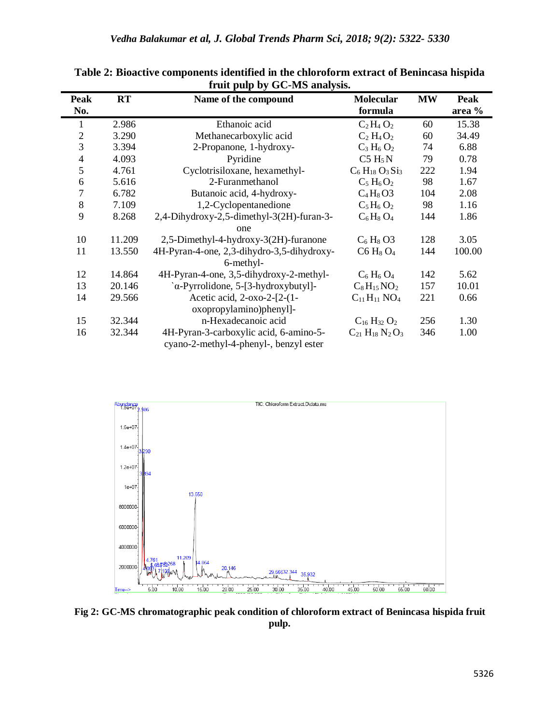| <b>Peak</b>    | <b>RT</b> | Name of the compound                       | <b>Molecular</b>                    | <b>MW</b> | <b>Peak</b> |
|----------------|-----------|--------------------------------------------|-------------------------------------|-----------|-------------|
| No.            |           |                                            | formula                             |           | area %      |
| 1              | 2.986     | Ethanoic acid                              | $C_2H_4O_2$                         | 60        | 15.38       |
| $\mathfrak{2}$ | 3.290     | Methanecarboxylic acid                     | $C_2 H_4 O_2$                       | 60        | 34.49       |
| 3              | 3.394     | 2-Propanone, 1-hydroxy-                    | $C_3 H_6 O_2$                       | 74        | 6.88        |
| $\overline{4}$ | 4.093     | Pyridine                                   | C5 H <sub>5</sub> N                 | 79        | 0.78        |
| 5              | 4.761     | Cyclotrisiloxane, hexamethyl-              | $C_6 H_{18} O_3 S_{13}$             | 222       | 1.94        |
| 6              | 5.616     | 2-Furanmethanol                            | $C_5 H_6 O_2$                       | 98        | 1.67        |
| 7              | 6.782     | Butanoic acid, 4-hydroxy-                  | $C_4H_8O3$                          | 104       | 2.08        |
| 8              | 7.109     | 1,2-Cyclopentanedione                      | $C_5H_6O_2$                         | 98        | 1.16        |
| 9              | 8.268     | 2,4-Dihydroxy-2,5-dimethyl-3(2H)-furan-3-  | $C_6H_8O_4$                         | 144       | 1.86        |
|                |           | one                                        |                                     |           |             |
| 10             | 11.209    | 2,5-Dimethyl-4-hydroxy-3(2H)-furanone      | $C_6$ H <sub>8</sub> O <sub>3</sub> | 128       | 3.05        |
| 11             | 13.550    | 4H-Pyran-4-one, 2,3-dihydro-3,5-dihydroxy- | $C6 H_8 O_4$                        | 144       | 100.00      |
|                |           | 6-methyl-                                  |                                     |           |             |
| 12             | 14.864    | 4H-Pyran-4-one, 3,5-dihydroxy-2-methyl-    | $C_6$ H <sub>6</sub> O <sub>4</sub> | 142       | 5.62        |
| 13             | 20.146    | `α-Pyrrolidone, 5-[3-hydroxybutyl]-        | $C_8H_{15}NO_2$                     | 157       | 10.01       |
| 14             | 29.566    | Acetic acid, 2-oxo-2-[2-(1-                | $C_{11}H_{11}NO_4$                  | 221       | 0.66        |
|                |           | oxopropylamino)phenyl]-                    |                                     |           |             |
| 15             | 32.344    | n-Hexadecanoic acid                        | $C_{16}H_{32}O_2$                   | 256       | 1.30        |
| 16             | 32.344    | 4H-Pyran-3-carboxylic acid, 6-amino-5-     | $C_{21} H_{18} N_2 O_3$             | 346       | 1.00        |
|                |           | cyano-2-methyl-4-phenyl-, benzyl ester     |                                     |           |             |

**Table 2: Bioactive components identified in the chloroform extract of Benincasa hispida fruit pulp by GC-MS analysis.**



**Fig 2: GC-MS chromatographic peak condition of chloroform extract of Benincasa hispida fruit pulp.**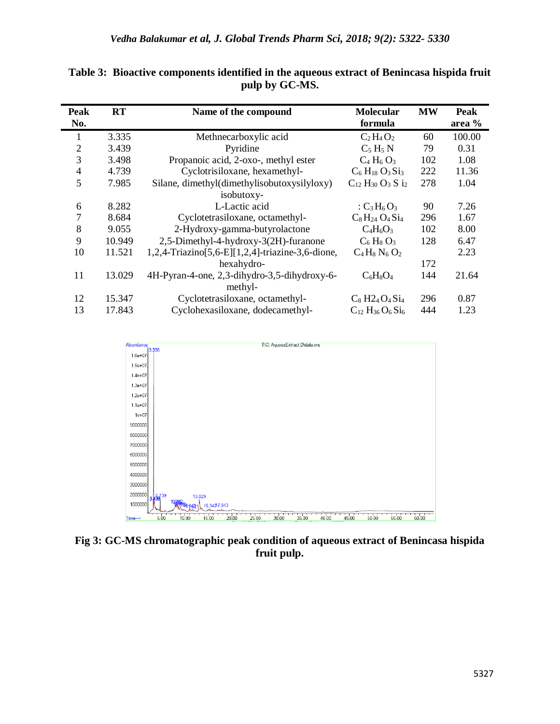| Peak<br>No.    | RT     | Name of the compound                             | <b>Molecular</b><br>formula                                     | <b>MW</b> | Peak<br>area % |
|----------------|--------|--------------------------------------------------|-----------------------------------------------------------------|-----------|----------------|
| 1              | 3.335  | Methnecarboxylic acid                            | $C_2H_4O_2$                                                     | 60        | 100.00         |
| $\overline{2}$ | 3.439  | Pyridine                                         | $C_5 H_5 N$                                                     | 79        | 0.31           |
| 3              | 3.498  | Propanoic acid, 2-oxo-, methyl ester             | $C_4 H_6 O_3$                                                   | 102       | 1.08           |
| $\overline{4}$ | 4.739  | Cyclotrisiloxane, hexamethyl-                    | $C_6$ H <sub>18</sub> O <sub>3</sub> S <sub>i<sub>3</sub></sub> | 222       | 11.36          |
| 5              | 7.985  | Silane, dimethyl(dimethylisobutoxysilyloxy)      | $C_{12} H_{30} O_3 S_{12}$                                      | 278       | 1.04           |
|                |        | isobutoxy-                                       |                                                                 |           |                |
| 6              | 8.282  | L-Lactic acid                                    | : $C_3H_6O_3$                                                   | 90        | 7.26           |
| 7              | 8.684  | Cyclotetrasiloxane, octamethyl-                  | $C_8H_{24}O_4Si_4$                                              | 296       | 1.67           |
| 8              | 9.055  | 2-Hydroxy-gamma-butyrolactone                    | $C_4H_6O_3$                                                     | 102       | 8.00           |
| 9              | 10.949 | 2,5-Dimethyl-4-hydroxy-3(2H)-furanone            | $C_6$ H <sub>8</sub> $O_3$                                      | 128       | 6.47           |
| 10             | 11.521 | 1,2,4-Triazino[5,6-E][1,2,4]-triazine-3,6-dione, | $C_4H_8N_6O_2$                                                  |           | 2.23           |
|                |        | hexahydro-                                       |                                                                 | 172       |                |
| 11             | 13.029 | 4H-Pyran-4-one, 2,3-dihydro-3,5-dihydroxy-6-     | $C_6H_8O_4$                                                     | 144       | 21.64          |
|                |        | methyl-                                          |                                                                 |           |                |
| 12             | 15.347 | Cyclotetrasiloxane, octamethyl-                  | $C_8$ H <sub>24</sub> O <sub>4</sub> S <sub>14</sub>            | 296       | 0.87           |
| 13             | 17.843 | Cyclohexasiloxane, dodecamethyl-                 | $C_{12} H_{36} O_6 Si_6$                                        | 444       | 1.23           |

**Table 3: Bioactive components identified in the aqueous extract of Benincasa hispida fruit pulp by GC-MS.**



**Fig 3: GC-MS chromatographic peak condition of aqueous extract of Benincasa hispida fruit pulp.**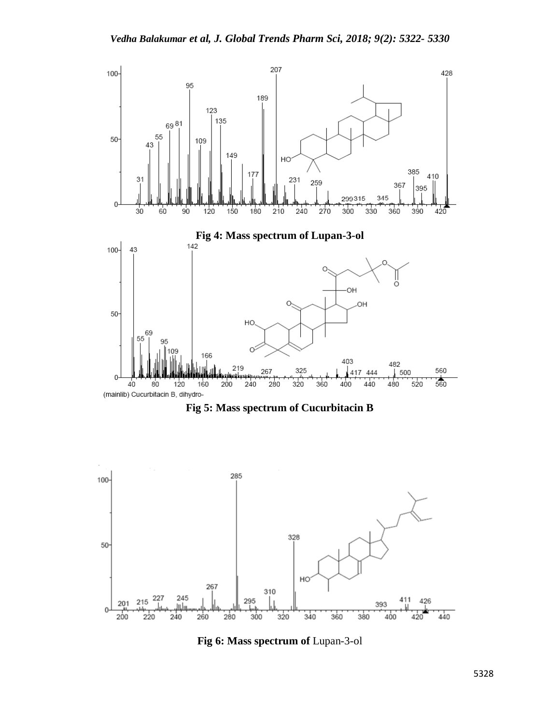





**Fig 6: Mass spectrum of** Lupan-3-ol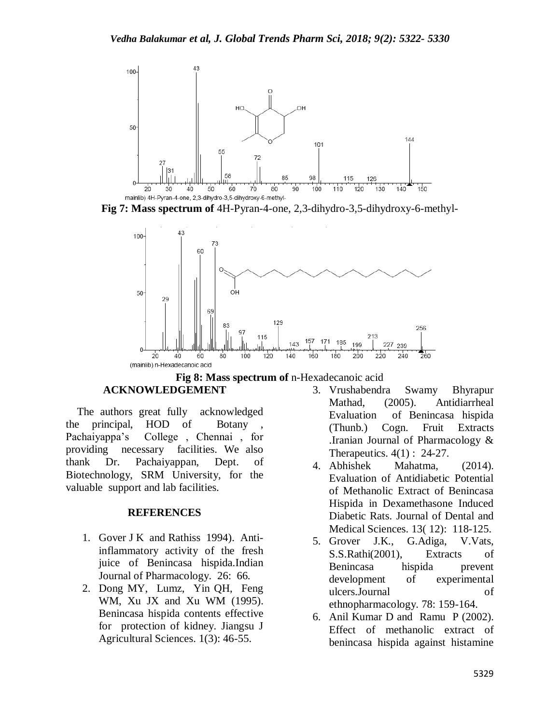

**Fig 7: Mass spectrum of** 4H-Pyran-4-one, 2,3-dihydro-3,5-dihydroxy-6-methyl-





## **ACKNOWLEDGEMENT**

 The authors great fully acknowledged the principal, HOD of Botany , Pachaiyappa's College , Chennai , for providing necessary facilities. We also thank Dr. Pachaiyappan, Dept. of Biotechnology, SRM University, for the valuable support and lab facilities.

## **REFERENCES**

- 1. Gover J K and Rathiss 1994). Antiinflammatory activity of the fresh juice of Benincasa hispida.Indian Journal of Pharmacology. 26: 66.
- 2. Dong MY, Lumz, Yin QH, Feng WM, Xu JX and Xu WM (1995). Benincasa hispida contents effective for protection of kidney. Jiangsu J Agricultural Sciences. 1(3): 46-55.
- 3. Vrushabendra Swamy Bhyrapur Mathad, (2005). Antidiarrheal Evaluation of Benincasa hispida (Thunb.) Cogn. Fruit Extracts .Iranian Journal of Pharmacology & Therapeutics. 4(1) : 24-27.
- 4. Abhishek Mahatma, (2014). Evaluation of Antidiabetic Potential of Methanolic Extract of Benincasa Hispida in Dexamethasone Induced Diabetic Rats. Journal of Dental and Medical Sciences. 13( 12): 118-125.
- 5. Grover J.K., G.Adiga, V.Vats, S.S.Rathi(2001), Extracts of Benincasa hispida prevent development of experimental ulcers.Journal of ethnopharmacology. 78: 159-164.
- 6. Anil Kumar D and Ramu P (2002). Effect of methanolic extract of benincasa hispida against histamine